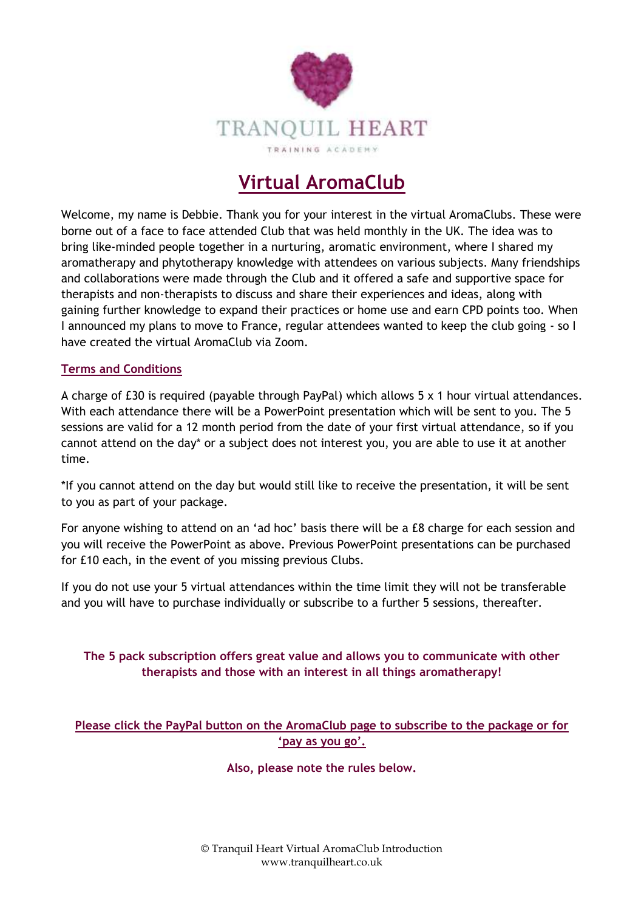

# **Virtual AromaClub**

Welcome, my name is Debbie. Thank you for your interest in the virtual AromaClubs. These were borne out of a face to face attended Club that was held monthly in the UK. The idea was to bring like-minded people together in a nurturing, aromatic environment, where I shared my aromatherapy and phytotherapy knowledge with attendees on various subjects. Many friendships and collaborations were made through the Club and it offered a safe and supportive space for therapists and non-therapists to discuss and share their experiences and ideas, along with gaining further knowledge to expand their practices or home use and earn CPD points too. When I announced my plans to move to France, regular attendees wanted to keep the club going - so I have created the virtual AromaClub via Zoom.

#### **Terms and Conditions**

A charge of £30 is required (payable through PayPal) which allows 5 x 1 hour virtual attendances. With each attendance there will be a PowerPoint presentation which will be sent to you. The 5 sessions are valid for a 12 month period from the date of your first virtual attendance, so if you cannot attend on the day\* or a subject does not interest you, you are able to use it at another time.

\*If you cannot attend on the day but would still like to receive the presentation, it will be sent to you as part of your package.

For anyone wishing to attend on an 'ad hoc' basis there will be a £8 charge for each session and you will receive the PowerPoint as above. Previous PowerPoint presentations can be purchased for £10 each, in the event of you missing previous Clubs.

If you do not use your 5 virtual attendances within the time limit they will not be transferable and you will have to purchase individually or subscribe to a further 5 sessions, thereafter.

## **The 5 pack subscription offers great value and allows you to communicate with other therapists and those with an interest in all things aromatherapy!**

## **Please click the PayPal button on the AromaClub page to subscribe to the package or for 'pay as you go'.**

#### **Also, please note the rules below.**